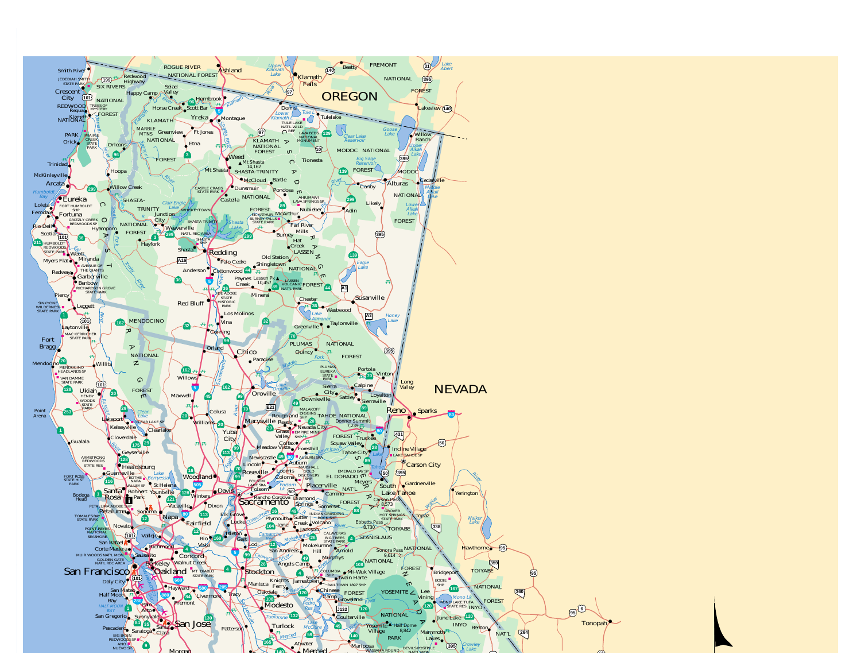